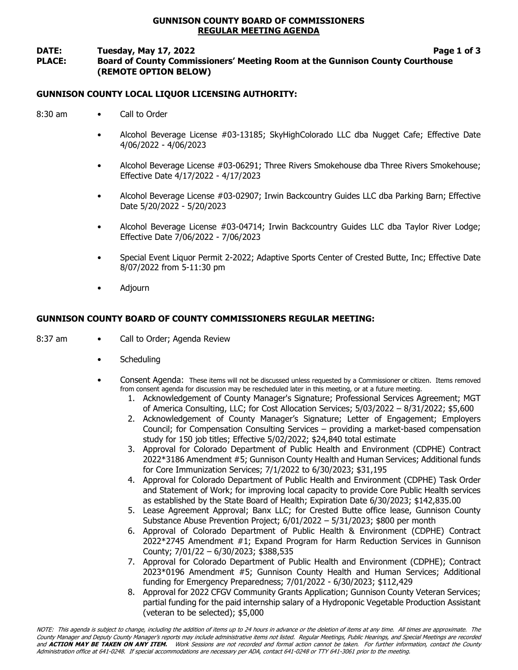## GUNNISON COUNTY BOARD OF COMMISSIONERS REGULAR MEETING AGENDA

#### DATE: Tuesday, May 17, 2022 **Page 1 of 3** PLACE: Board of County Commissioners' Meeting Room at the Gunnison County Courthouse (REMOTE OPTION BELOW)

# GUNNISON COUNTY LOCAL LIQUOR LICENSING AUTHORITY:

- 8:30 am Call to Order
	- Alcohol Beverage License #03-13185; SkyHighColorado LLC dba Nugget Cafe; Effective Date 4/06/2022 - 4/06/2023
	- Alcohol Beverage License #03-06291; Three Rivers Smokehouse dba Three Rivers Smokehouse; Effective Date 4/17/2022 - 4/17/2023
	- Alcohol Beverage License #03-02907; Irwin Backcountry Guides LLC dba Parking Barn; Effective Date 5/20/2022 - 5/20/2023
	- Alcohol Beverage License #03-04714; Irwin Backcountry Guides LLC dba Taylor River Lodge; Effective Date 7/06/2022 - 7/06/2023
	- Special Event Liquor Permit 2-2022; Adaptive Sports Center of Crested Butte, Inc; Effective Date 8/07/2022 from 5-11:30 pm
	- Adjourn

# GUNNISON COUNTY BOARD OF COUNTY COMMISSIONERS REGULAR MEETING:

- 8:37 am Call to Order; Agenda Review
	- **Scheduling**
	- Consent Agenda: These items will not be discussed unless requested by a Commissioner or citizen. Items removed from consent agenda for discussion may be rescheduled later in this meeting, or at a future meeting.
		- 1. Acknowledgement of County Manager's Signature; Professional Services Agreement; MGT of America Consulting, LLC; for Cost Allocation Services; 5/03/2022 – 8/31/2022; \$5,600
		- 2. Acknowledgement of County Manager's Signature; Letter of Engagement; Employers Council; for Compensation Consulting Services – providing a market-based compensation study for 150 job titles; Effective 5/02/2022; \$24,840 total estimate
		- 3. Approval for Colorado Department of Public Health and Environment (CDPHE) Contract 2022\*3186 Amendment #5; Gunnison County Health and Human Services; Additional funds for Core Immunization Services; 7/1/2022 to 6/30/2023; \$31,195
		- 4. Approval for Colorado Department of Public Health and Environment (CDPHE) Task Order and Statement of Work; for improving local capacity to provide Core Public Health services as established by the State Board of Health; Expiration Date 6/30/2023; \$142,835.00
		- 5. Lease Agreement Approval; Banx LLC; for Crested Butte office lease, Gunnison County Substance Abuse Prevention Project; 6/01/2022 – 5/31/2023; \$800 per month
		- 6. Approval of Colorado Department of Public Health & Environment (CDPHE) Contract 2022\*2745 Amendment #1; Expand Program for Harm Reduction Services in Gunnison County; 7/01/22 – 6/30/2023; \$388,535
		- 7. Approval for Colorado Department of Public Health and Environment (CDPHE); Contract 2023\*0196 Amendment #5; Gunnison County Health and Human Services; Additional funding for Emergency Preparedness; 7/01/2022 - 6/30/2023; \$112,429
		- 8. Approval for 2022 CFGV Community Grants Application; Gunnison County Veteran Services; partial funding for the paid internship salary of a Hydroponic Vegetable Production Assistant (veteran to be selected); \$5,000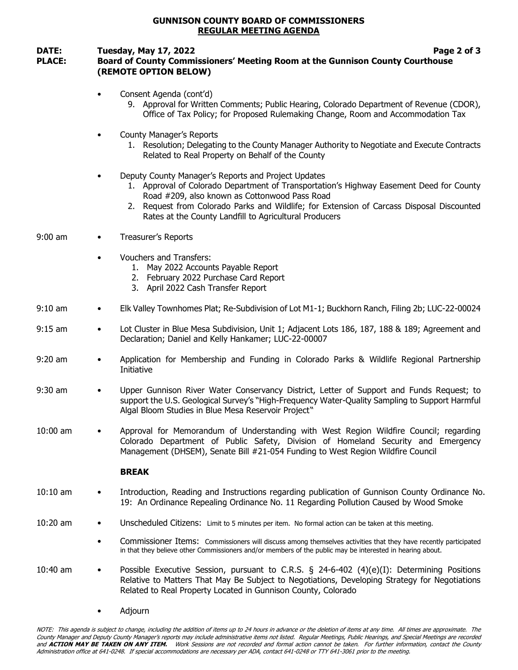### GUNNISON COUNTY BOARD OF COMMISSIONERS REGULAR MEETING AGENDA

## DATE: Tuesday, May 17, 2022 **Page 2 of 3** PLACE: Board of County Commissioners' Meeting Room at the Gunnison County Courthouse (REMOTE OPTION BELOW)

- Consent Agenda (cont'd)
	- 9. Approval for Written Comments; Public Hearing, Colorado Department of Revenue (CDOR), Office of Tax Policy; for Proposed Rulemaking Change, Room and Accommodation Tax
- County Manager's Reports
	- 1. Resolution; Delegating to the County Manager Authority to Negotiate and Execute Contracts Related to Real Property on Behalf of the County
- Deputy County Manager's Reports and Project Updates
	- 1. Approval of Colorado Department of Transportation's Highway Easement Deed for County Road #209, also known as Cottonwood Pass Road
	- 2. Request from Colorado Parks and Wildlife; for Extension of Carcass Disposal Discounted Rates at the County Landfill to Agricultural Producers
- 9:00 am Treasurer's Reports
	- Vouchers and Transfers:
		- 1. May 2022 Accounts Payable Report
		- 2. February 2022 Purchase Card Report
		- 3. April 2022 Cash Transfer Report
- 9:10 am Elk Valley Townhomes Plat; Re-Subdivision of Lot M1-1; Buckhorn Ranch, Filing 2b; LUC-22-00024
- 9:15 am Lot Cluster in Blue Mesa Subdivision, Unit 1; Adjacent Lots 186, 187, 188 & 189; Agreement and Declaration; Daniel and Kelly Hankamer; LUC-22-00007
- 9:20 am Application for Membership and Funding in Colorado Parks & Wildlife Regional Partnership Initiative
- 9:30 am Upper Gunnison River Water Conservancy District, Letter of Support and Funds Request; to support the U.S. Geological Survey's "High-Frequency Water-Quality Sampling to Support Harmful Algal Bloom Studies in Blue Mesa Reservoir Project"
- 10:00 am Approval for Memorandum of Understanding with West Region Wildfire Council; regarding Colorado Department of Public Safety, Division of Homeland Security and Emergency Management (DHSEM), Senate Bill #21-054 Funding to West Region Wildfire Council

#### BREAK

- 10:10 am Introduction, Reading and Instructions regarding publication of Gunnison County Ordinance No. 19: An Ordinance Repealing Ordinance No. 11 Regarding Pollution Caused by Wood Smoke
- 10:20 am Unscheduled Citizens: Limit to 5 minutes per item. No formal action can be taken at this meeting.
	- Commissioner Items: Commissioners will discuss among themselves activities that they have recently participated in that they believe other Commissioners and/or members of the public may be interested in hearing about.
- 10:40 am Possible Executive Session, pursuant to C.R.S. § 24-6-402 (4)(e)(I): Determining Positions Relative to Matters That May Be Subject to Negotiations, Developing Strategy for Negotiations Related to Real Property Located in Gunnison County, Colorado
	- Adjourn

NOTE: This agenda is subject to change, including the addition of items up to 24 hours in advance or the deletion of items at any time. All times are approximate. The County Manager and Deputy County Manager's reports may include administrative items not listed. Regular Meetings, Public Hearings, and Special Meetings are recorded and ACTION MAY BE TAKEN ON ANY ITEM. Work Sessions are not recorded and formal action cannot be taken. For further information, contact the County Administration office at 641-0248. If special accommodations are necessary per ADA, contact 641-0248 or TTY 641-3061 prior to the meeting.